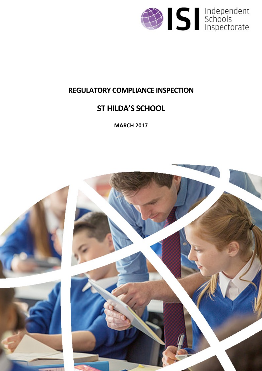

## **REGULATORY COMPLIANCE INSPECTION**

# **ST HILDA'S SCHOOL**

**MARCH 2017**

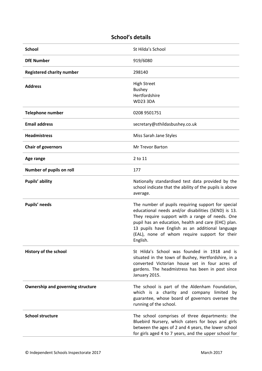### **School's details**

| <b>School</b>                            | St Hilda's School                                                                                                                                                                                                                                                                                                                    |
|------------------------------------------|--------------------------------------------------------------------------------------------------------------------------------------------------------------------------------------------------------------------------------------------------------------------------------------------------------------------------------------|
| <b>DfE Number</b>                        | 919/6080                                                                                                                                                                                                                                                                                                                             |
| <b>Registered charity number</b>         | 298140                                                                                                                                                                                                                                                                                                                               |
| <b>Address</b>                           | <b>High Street</b><br><b>Bushey</b><br>Hertfordshire<br><b>WD23 3DA</b>                                                                                                                                                                                                                                                              |
| <b>Telephone number</b>                  | 0208 9501751                                                                                                                                                                                                                                                                                                                         |
| <b>Email address</b>                     | secretary@sthildasbushey.co.uk                                                                                                                                                                                                                                                                                                       |
| <b>Headmistress</b>                      | Miss Sarah Jane Styles                                                                                                                                                                                                                                                                                                               |
| <b>Chair of governors</b>                | Mr Trevor Barton                                                                                                                                                                                                                                                                                                                     |
| Age range                                | 2 to 11                                                                                                                                                                                                                                                                                                                              |
| Number of pupils on roll                 | 177                                                                                                                                                                                                                                                                                                                                  |
| Pupils' ability                          | Nationally standardised test data provided by the<br>school indicate that the ability of the pupils is above<br>average.                                                                                                                                                                                                             |
| Pupils' needs                            | The number of pupils requiring support for special<br>educational needs and/or disabilities (SEND) is 13.<br>They require support with a range of needs. One<br>pupil has an education, health and care (EHC) plan.<br>13 pupils have English as an additional language<br>(EAL), none of whom require support for their<br>English. |
| History of the school                    | St Hilda's School was founded in 1918 and is<br>situated in the town of Bushey, Hertfordshire, in a<br>converted Victorian house set in four acres of<br>gardens. The headmistress has been in post since<br>January 2015.                                                                                                           |
| <b>Ownership and governing structure</b> | The school is part of the Aldenham Foundation,<br>which is a charity and company limited by<br>guarantee, whose board of governors oversee the<br>running of the school.                                                                                                                                                             |
| <b>School structure</b>                  | The school comprises of three departments: the<br>Bluebird Nursery, which caters for boys and girls<br>between the ages of 2 and 4 years, the lower school<br>for girls aged 4 to 7 years, and the upper school for                                                                                                                  |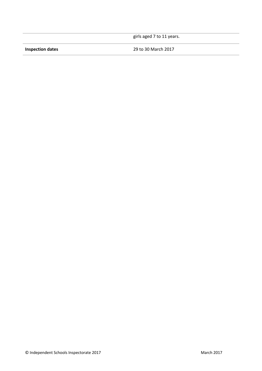girls aged 7 to 11 years.

**Inspection dates** 29 to 30 March 2017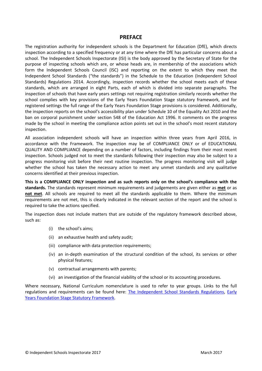#### **PREFACE**

The registration authority for independent schools is the Department for Education (DfE), which directs inspection according to a specified frequency or at any time where the DfE has particular concerns about a school. The Independent Schools Inspectorate (ISI) is the body approved by the Secretary of State for the purpose of inspecting schools which are, or whose heads are, in membership of the associations which form the Independent Schools Council (ISC) and reporting on the extent to which they meet the Independent School Standards ("the standards") in the Schedule to the Education (Independent School Standards) Regulations 2014. Accordingly, inspection records whether the school meets each of these standards, which are arranged in eight Parts, each of which is divided into separate paragraphs. The inspection of schools that have early years settings not requiring registration similarly records whether the school complies with key provisions of the Early Years Foundation Stage statutory framework, and for registered settings the full range of the Early Years Foundation Stage provisions is considered. Additionally, the inspection reports on the school's accessibility plan under Schedule 10 of the Equality Act 2010 and the ban on corporal punishment under section 548 of the Education Act 1996. It comments on the progress made by the school in meeting the compliance action points set out in the school's most recent statutory inspection.

All association independent schools will have an inspection within three years from April 2016, in accordance with the Framework. The inspection may be of COMPLIANCE ONLY or of EDUCATIONAL QUALITY AND COMPLIANCE depending on a number of factors, including findings from their most recent inspection. Schools judged not to meet the standards following their inspection may also be subject to a progress monitoring visit before their next routine inspection. The progress monitoring visit will judge whether the school has taken the necessary action to meet any unmet standards and any qualitative concerns identified at their previous inspection.

**This is a COMPLIANCE ONLY inspection and as such reports only on the school's compliance with the standards.** The standards represent minimum requirements and judgements are given either as **met** or as **not met**. All schools are required to meet all the standards applicable to them. Where the minimum requirements are not met, this is clearly indicated in the relevant section of the report and the school is required to take the actions specified.

The inspection does not include matters that are outside of the regulatory framework described above, such as:

- (i) the school's aims;
- (ii) an exhaustive health and safety audit;
- (iii) compliance with data protection requirements;
- (iv) an in-depth examination of the structural condition of the school, its services or other physical features;
- (v) contractual arrangements with parents;
- (vi) an investigation of the financial viability of the school or its accounting procedures.

Where necessary, National Curriculum nomenclature is used to refer to year groups. Links to the full regulations and requirements can be found here: The [Independent](http://www.legislation.gov.uk/uksi/2014/3283/contents/made) School Standards Regulations, [Early](https://www.gov.uk/government/publications/early-years-foundation-stage-framework--2) Years [Foundation](https://www.gov.uk/government/publications/early-years-foundation-stage-framework--2) Stage Statutory Framework.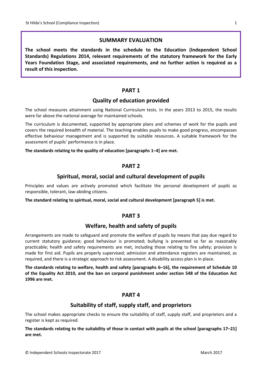#### **SUMMARY EVALUATION**

**The school meets the standards in the schedule to the Education (Independent School Standards) Regulations 2014, relevant requirements of the statutory framework for the Early Years Foundation Stage, and associated requirements, and no further action is required as a result of this inspection.**

#### **PART 1**

#### **Quality of education provided**

The school measures attainment using National Curriculum tests. In the years 2013 to 2015, the results were far above the national average for maintained schools.

The curriculum is documented, supported by appropriate plans and schemes of work for the pupils and covers the required breadth of material. The teaching enables pupils to make good progress, encompasses effective behaviour management and is supported by suitable resources. A suitable framework for the assessment of pupils' performance is in place.

#### **The standards relating to the quality of education [paragraphs 1–4] are met.**

#### **PART 2**

#### **Spiritual, moral, social and cultural development of pupils**

Principles and values are actively promoted which facilitate the personal development of pupils as responsible, tolerant, law-abiding citizens.

**The standard relating to spiritual, moral, social and cultural development [paragraph 5] is met.**

#### **PART 3**

#### **Welfare, health and safety of pupils**

Arrangements are made to safeguard and promote the welfare of pupils by means that pay due regard to current statutory guidance; good behaviour is promoted; bullying is prevented so far as reasonably practicable; health and safety requirements are met, including those relating to fire safety; provision is made for first aid. Pupils are properly supervised; admission and attendance registers are maintained, as required, and there is a strategic approach to risk assessment. A disability access plan is in place.

**The standards relating to welfare, health and safety [paragraphs 6–16], the requirement of Schedule 10** of the Equality Act 2010, and the ban on corporal punishment under section 548 of the Education Act **1996 are met.**

#### **PART 4**

#### **Suitability of staff, supply staff, and proprietors**

The school makes appropriate checks to ensure the suitability of staff, supply staff, and proprietors and a register is kept as required.

The standards relating to the suitability of those in contact with pupils at the school [paragraphs 17–21] **are met.**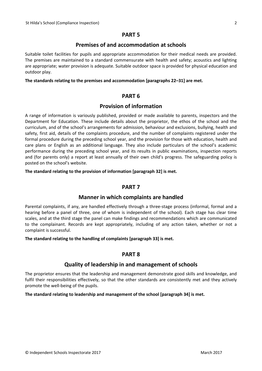#### **PART 5**

#### **Premises of and accommodation at schools**

Suitable toilet facilities for pupils and appropriate accommodation for their medical needs are provided. The premises are maintained to a standard commensurate with health and safety; acoustics and lighting are appropriate; water provision is adequate. Suitable outdoor space is provided for physical education and outdoor play.

#### **The standards relating to the premises and accommodation [paragraphs 22–31] are met.**

#### **PART 6**

#### **Provision of information**

A range of information is variously published, provided or made available to parents, inspectors and the Department for Education. These include details about the proprietor, the ethos of the school and the curriculum, and of the school's arrangements for admission, behaviour and exclusions, bullying, health and safety, first aid, details of the complaints procedure, and the number of complaints registered under the formal procedure during the preceding school year, and the provision for those with education, health and care plans or English as an additional language. They also include particulars of the school's academic performance during the preceding school year, and its results in public examinations, inspection reports and (for parents only) a report at least annually of their own child's progress. The safeguarding policy is posted on the school's website.

**The standard relating to the provision of information [paragraph 32] is met.**

#### **PART 7**

#### **Manner in which complaints are handled**

Parental complaints, if any, are handled effectively through a three-stage process (informal, formal and a hearing before a panel of three, one of whom is independent of the school). Each stage has clear time scales, and at the third stage the panel can make findings and recommendations which are communicated to the complainant. Records are kept appropriately, including of any action taken, whether or not a complaint is successful.

#### **The standard relating to the handling of complaints [paragraph 33] is met.**

#### **PART 8**

#### **Quality of leadership in and management of schools**

The proprietor ensures that the leadership and management demonstrate good skills and knowledge, and fulfil their responsibilities effectively, so that the other standards are consistently met and they actively promote the well-being of the pupils.

#### **The standard relating to leadership and management of the school [paragraph 34] is met.**